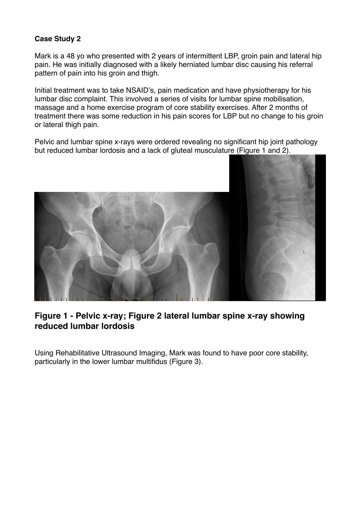## **Case Study 2**

Mark is a 48 yo who presented with 2 years of intermittent LBP, groin pain and lateral hip pain. He was initially diagnosed with a likely herniated lumbar disc causing his referral pattern of pain into his groin and thigh.

Initial treatment was to take NSAID's, pain medication and have physiotherapy for his lumbar disc complaint. This involved a series of visits for lumbar spine mobilisation, massage and a home exercise program of core stability exercises. After 2 months of treatment there was some reduction in his pain scores for LBP but no change to his groin or lateral thigh pain.

Pelvic and lumbar spine x-rays were ordered revealing no significant hip joint pathology but reduced lumbar lordosis and a lack of gluteal musculature (Figure 1 and 2).



## **Figure 1 - Pelvic x-ray; Figure 2 lateral lumbar spine x-ray showing reduced lumbar lordosis**

Using Rehabilitative Ultrasound Imaging, Mark was found to have poor core stability, particularly in the lower lumbar multifidus (Figure 3).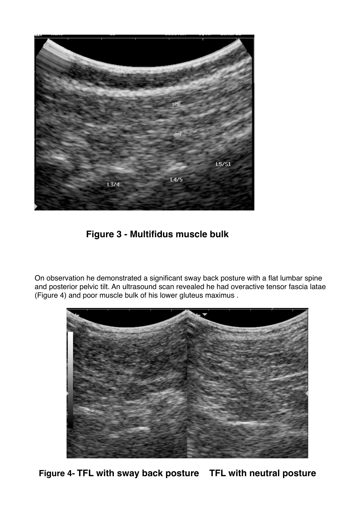

""" **Figure 3 - Multifidus muscle bulk**

On observation he demonstrated a significant sway back posture with a flat lumbar spine and posterior pelvic tilt. An ultrasound scan revealed he had overactive tensor fascia latae (Figure 4) and poor muscle bulk of his lower gluteus maximus .



**Figure 4- TFL with sway back posture TFL with neutral posture**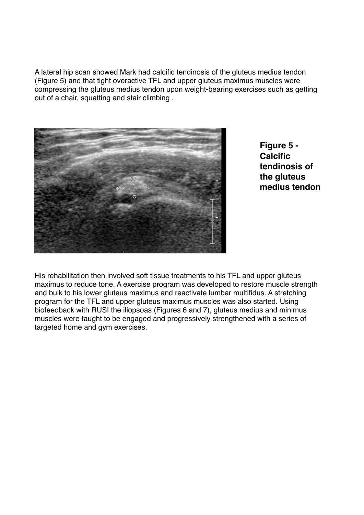A lateral hip scan showed Mark had calcific tendinosis of the gluteus medius tendon (Figure 5) and that tight overactive TFL and upper gluteus maximus muscles were compressing the gluteus medius tendon upon weight-bearing exercises such as getting out of a chair, squatting and stair climbing .



**Figure 5 - Calcific tendinosis of the gluteus medius tendon**

His rehabilitation then involved soft tissue treatments to his TFL and upper gluteus maximus to reduce tone. A exercise program was developed to restore muscle strength and bulk to his lower gluteus maximus and reactivate lumbar multifidus. A stretching program for the TFL and upper gluteus maximus muscles was also started. Using biofeedback with RUSI the iliopsoas (Figures 6 and 7), gluteus medius and minimus muscles were taught to be engaged and progressively strengthened with a series of targeted home and gym exercises.